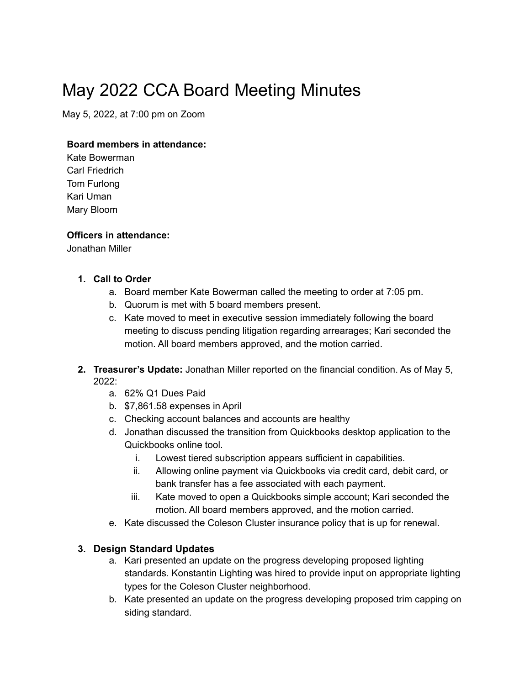# May 2022 CCA Board Meeting Minutes

May 5, 2022, at 7:00 pm on Zoom

#### **Board members in attendance:**

Kate Bowerman Carl Friedrich Tom Furlong Kari Uman Mary Bloom

#### **Officers in attendance:**

Jonathan Miller

#### **1. Call to Order**

- a. Board member Kate Bowerman called the meeting to order at 7:05 pm.
- b. Quorum is met with 5 board members present.
- c. Kate moved to meet in executive session immediately following the board meeting to discuss pending litigation regarding arrearages; Kari seconded the motion. All board members approved, and the motion carried.
- **2. Treasurer's Update:** Jonathan Miller reported on the financial condition. As of May 5, 2022:
	- a. 62% Q1 Dues Paid
	- b. \$7,861.58 expenses in April
	- c. Checking account balances and accounts are healthy
	- d. Jonathan discussed the transition from Quickbooks desktop application to the Quickbooks online tool.
		- i. Lowest tiered subscription appears sufficient in capabilities.
		- ii. Allowing online payment via Quickbooks via credit card, debit card, or bank transfer has a fee associated with each payment.
		- iii. Kate moved to open a Quickbooks simple account; Kari seconded the motion. All board members approved, and the motion carried.
	- e. Kate discussed the Coleson Cluster insurance policy that is up for renewal.

#### **3. Design Standard Updates**

- a. Kari presented an update on the progress developing proposed lighting standards. Konstantin Lighting was hired to provide input on appropriate lighting types for the Coleson Cluster neighborhood.
- b. Kate presented an update on the progress developing proposed trim capping on siding standard.